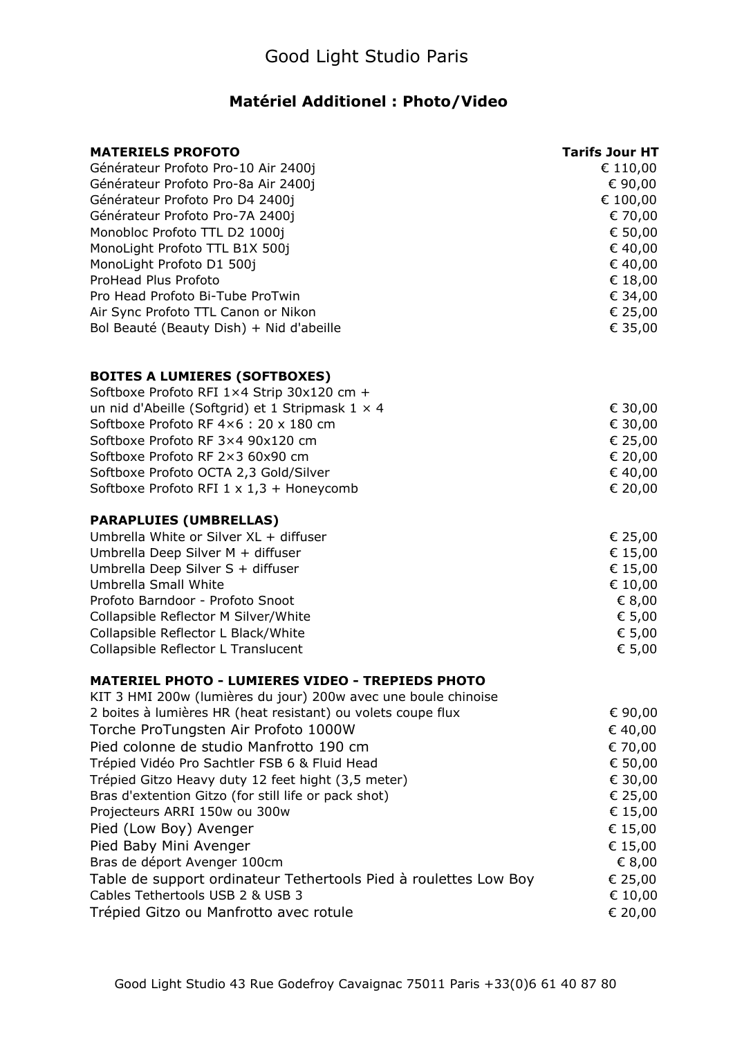## **Matériel Additionel : Photo/Video**

| <b>MATERIELS PROFOTO</b>                                                                                                  | <b>Tarifs Jour HT</b> |
|---------------------------------------------------------------------------------------------------------------------------|-----------------------|
| Générateur Profoto Pro-10 Air 2400j                                                                                       | € 110,00              |
| Générateur Profoto Pro-8a Air 2400j                                                                                       | € 90,00               |
| Générateur Profoto Pro D4 2400j                                                                                           | € 100,00              |
| Générateur Profoto Pro-7A 2400j                                                                                           | € 70,00               |
| Monobloc Profoto TTL D2 1000j                                                                                             | € 50,00               |
| MonoLight Profoto TTL B1X 500j                                                                                            | € 40,00               |
| MonoLight Profoto D1 500j                                                                                                 | € 40,00               |
| ProHead Plus Profoto                                                                                                      | € 18,00               |
| Pro Head Profoto Bi-Tube ProTwin                                                                                          | € 34,00               |
| Air Sync Profoto TTL Canon or Nikon<br>Bol Beauté (Beauty Dish) + Nid d'abeille                                           | € 25,00<br>€ 35,00    |
| <b>BOITES A LUMIERES (SOFTBOXES)</b>                                                                                      |                       |
| Softboxe Profoto RFI 1×4 Strip 30x120 cm +                                                                                |                       |
| un nid d'Abeille (Softgrid) et 1 Stripmask $1 \times 4$                                                                   | € 30,00               |
| Softboxe Profoto RF 4×6: 20 x 180 cm                                                                                      | € 30,00               |
| Softboxe Profoto RF 3×4 90x120 cm                                                                                         | € 25,00               |
| Softboxe Profoto RF 2×3 60x90 cm                                                                                          | € 20,00               |
| Softboxe Profoto OCTA 2,3 Gold/Silver                                                                                     | € 40,00               |
| Softboxe Profoto RFI $1 \times 1,3 +$ Honeycomb                                                                           | € 20,00               |
| <b>PARAPLUIES (UMBRELLAS)</b>                                                                                             |                       |
| Umbrella White or Silver XL + diffuser                                                                                    | € 25,00               |
| Umbrella Deep Silver M + diffuser                                                                                         | € 15,00               |
| Umbrella Deep Silver S + diffuser                                                                                         | € 15,00               |
| <b>Umbrella Small White</b>                                                                                               | € 10,00               |
| Profoto Barndoor - Profoto Snoot                                                                                          | € 8,00                |
| Collapsible Reflector M Silver/White                                                                                      | € 5,00                |
| Collapsible Reflector L Black/White<br>Collapsible Reflector L Translucent                                                | € 5,00<br>€ 5,00      |
|                                                                                                                           |                       |
| <b>MATERIEL PHOTO - LUMIERES VIDEO - TREPIEDS PHOTO</b><br>KIT 3 HMI 200w (lumières du jour) 200w avec une boule chinoise |                       |
| 2 boites à lumières HR (heat resistant) ou volets coupe flux                                                              | € 90,00               |
| Torche ProTungsten Air Profoto 1000W                                                                                      | € 40,00               |
| Pied colonne de studio Manfrotto 190 cm                                                                                   | € 70,00               |
| Trépied Vidéo Pro Sachtler FSB 6 & Fluid Head                                                                             | € 50,00               |
| Trépied Gitzo Heavy duty 12 feet hight (3,5 meter)                                                                        | € 30,00               |
| Bras d'extention Gitzo (for still life or pack shot)                                                                      | € 25,00               |
| Projecteurs ARRI 150w ou 300w                                                                                             | € 15,00               |
| Pied (Low Boy) Avenger                                                                                                    | € 15,00               |
| Pied Baby Mini Avenger                                                                                                    | € 15,00               |
| Bras de déport Avenger 100cm                                                                                              | € 8,00                |
| Table de support ordinateur Tethertools Pied à roulettes Low Boy                                                          | € 25,00               |
| Cables Tethertools USB 2 & USB 3                                                                                          | € 10,00               |
| Trépied Gitzo ou Manfrotto avec rotule                                                                                    | € 20,00               |